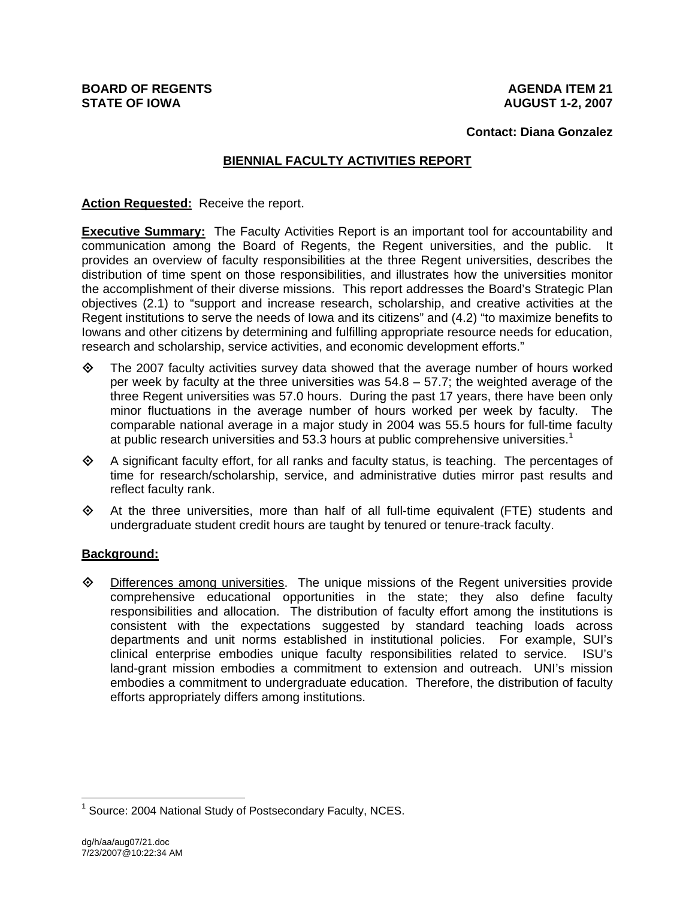#### **Contact: Diana Gonzalez**

# **BIENNIAL FACULTY ACTIVITIES REPORT**

**Action Requested:** Receive the report.

**Executive Summary:** The Faculty Activities Report is an important tool for accountability and communication among the Board of Regents, the Regent universities, and the public. It provides an overview of faculty responsibilities at the three Regent universities, describes the distribution of time spent on those responsibilities, and illustrates how the universities monitor the accomplishment of their diverse missions. This report addresses the Board's Strategic Plan objectives (2.1) to "support and increase research, scholarship, and creative activities at the Regent institutions to serve the needs of Iowa and its citizens" and (4.2) "to maximize benefits to Iowans and other citizens by determining and fulfilling appropriate resource needs for education, research and scholarship, service activities, and economic development efforts."

- $\diamond$  The 2007 faculty activities survey data showed that the average number of hours worked per week by faculty at the three universities was 54.8 – 57.7; the weighted average of the three Regent universities was 57.0 hours. During the past 17 years, there have been only minor fluctuations in the average number of hours worked per week by faculty. The comparable national average in a major study in 2004 was 55.5 hours for full-time faculty at public research universities and 53.3 hours at public comprehensive universities.<sup>1</sup>
- $\Diamond$  A significant faculty effort, for all ranks and faculty status, is teaching. The percentages of time for research/scholarship, service, and administrative duties mirror past results and reflect faculty rank.
- $\Leftrightarrow$  At the three universities, more than half of all full-time equivalent (FTE) students and undergraduate student credit hours are taught by tenured or tenure-track faculty.

#### **Background:**

 $\Diamond$  Differences among universities. The unique missions of the Regent universities provide comprehensive educational opportunities in the state; they also define faculty responsibilities and allocation. The distribution of faculty effort among the institutions is consistent with the expectations suggested by standard teaching loads across departments and unit norms established in institutional policies. For example, SUI's clinical enterprise embodies unique faculty responsibilities related to service. ISU's land-grant mission embodies a commitment to extension and outreach. UNI's mission embodies a commitment to undergraduate education. Therefore, the distribution of faculty efforts appropriately differs among institutions.

 $\overline{a}$ 

<sup>&</sup>lt;sup>1</sup> Source: 2004 National Study of Postsecondary Faculty, NCES.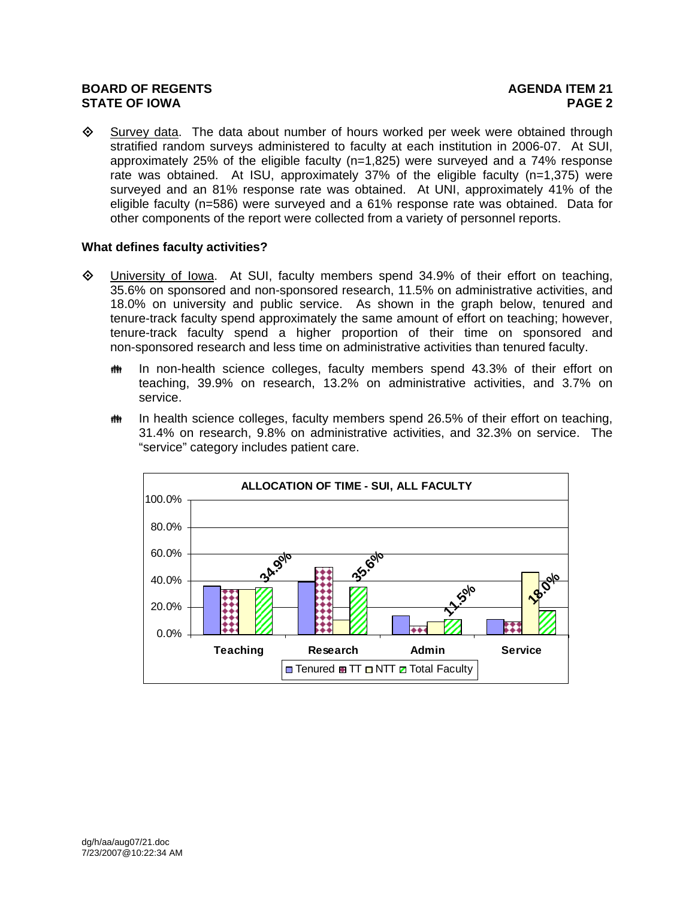$\diamondsuit$  Survey data. The data about number of hours worked per week were obtained through stratified random surveys administered to faculty at each institution in 2006-07. At SUI, approximately 25% of the eligible faculty (n=1,825) were surveyed and a 74% response rate was obtained. At ISU, approximately 37% of the eligible faculty (n=1,375) were surveyed and an 81% response rate was obtained. At UNI, approximately 41% of the eligible faculty (n=586) were surveyed and a 61% response rate was obtained. Data for other components of the report were collected from a variety of personnel reports.

# **What defines faculty activities?**

- University of Iowa. At SUI, faculty members spend 34.9% of their effort on teaching, 35.6% on sponsored and non-sponsored research, 11.5% on administrative activities, and 18.0% on university and public service. As shown in the graph below, tenured and tenure-track faculty spend approximately the same amount of effort on teaching; however, tenure-track faculty spend a higher proportion of their time on sponsored and non-sponsored research and less time on administrative activities than tenured faculty.
	- $m$  In non-health science colleges, faculty members spend 43.3% of their effort on teaching, 39.9% on research, 13.2% on administrative activities, and 3.7% on service.
	- $m$  In health science colleges, faculty members spend 26.5% of their effort on teaching, 31.4% on research, 9.8% on administrative activities, and 32.3% on service. The "service" category includes patient care.

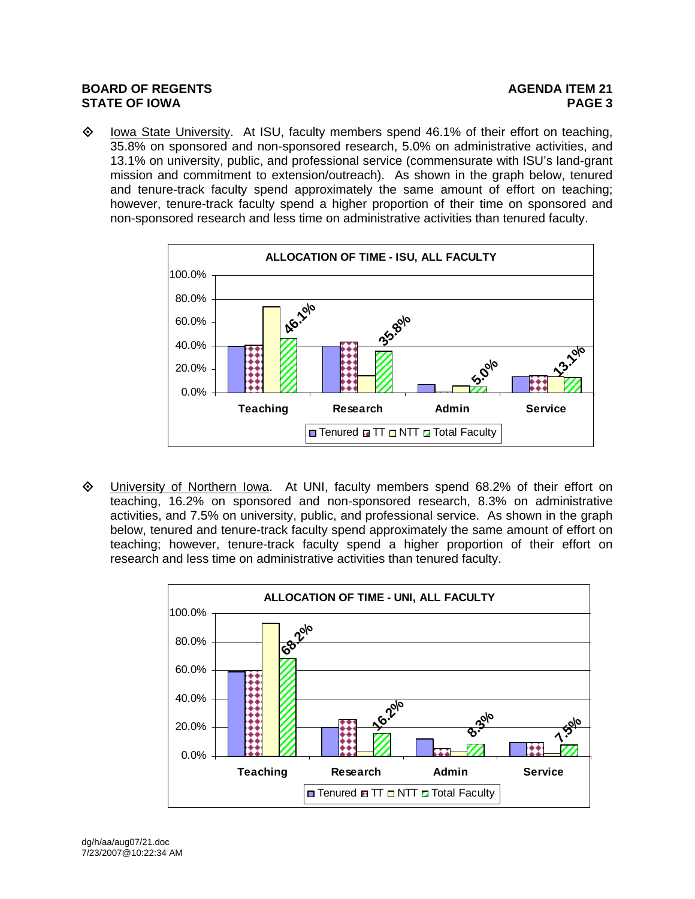$\diamond$  Iowa State University. At ISU, faculty members spend 46.1% of their effort on teaching, 35.8% on sponsored and non-sponsored research, 5.0% on administrative activities, and 13.1% on university, public, and professional service (commensurate with ISU's land-grant mission and commitment to extension/outreach). As shown in the graph below, tenured and tenure-track faculty spend approximately the same amount of effort on teaching; however, tenure-track faculty spend a higher proportion of their time on sponsored and non-sponsored research and less time on administrative activities than tenured faculty.



 University of Northern Iowa. At UNI, faculty members spend 68.2% of their effort on teaching, 16.2% on sponsored and non-sponsored research, 8.3% on administrative activities, and 7.5% on university, public, and professional service. As shown in the graph below, tenured and tenure-track faculty spend approximately the same amount of effort on teaching; however, tenure-track faculty spend a higher proportion of their effort on research and less time on administrative activities than tenured faculty.

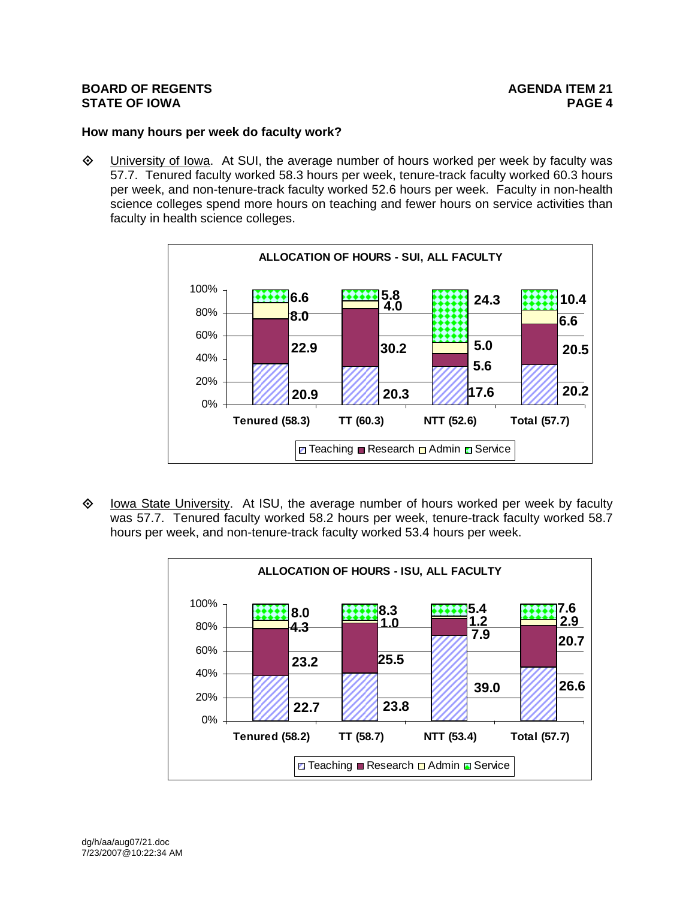# **How many hours per week do faculty work?**

 $\Diamond$  University of Iowa. At SUI, the average number of hours worked per week by faculty was 57.7. Tenured faculty worked 58.3 hours per week, tenure-track faculty worked 60.3 hours per week, and non-tenure-track faculty worked 52.6 hours per week. Faculty in non-health science colleges spend more hours on teaching and fewer hours on service activities than faculty in health science colleges.



 $\diamond$  Iowa State University. At ISU, the average number of hours worked per week by faculty was 57.7. Tenured faculty worked 58.2 hours per week, tenure-track faculty worked 58.7 hours per week, and non-tenure-track faculty worked 53.4 hours per week.

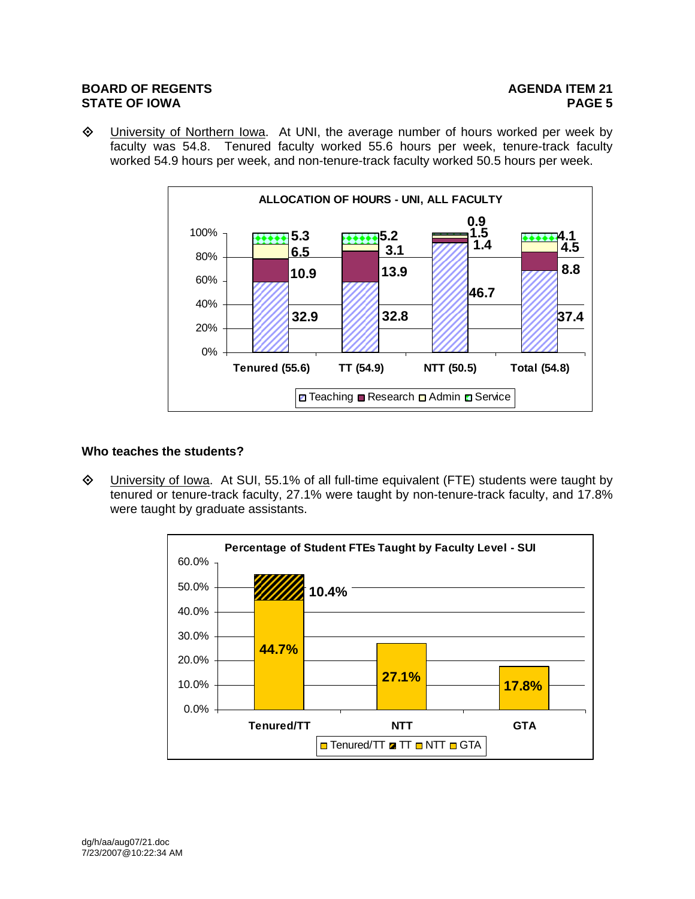University of Northern Iowa. At UNI, the average number of hours worked per week by faculty was 54.8. Tenured faculty worked 55.6 hours per week, tenure-track faculty worked 54.9 hours per week, and non-tenure-track faculty worked 50.5 hours per week.



## **Who teaches the students?**

 University of Iowa. At SUI, 55.1% of all full-time equivalent (FTE) students were taught by tenured or tenure-track faculty, 27.1% were taught by non-tenure-track faculty, and 17.8% were taught by graduate assistants.

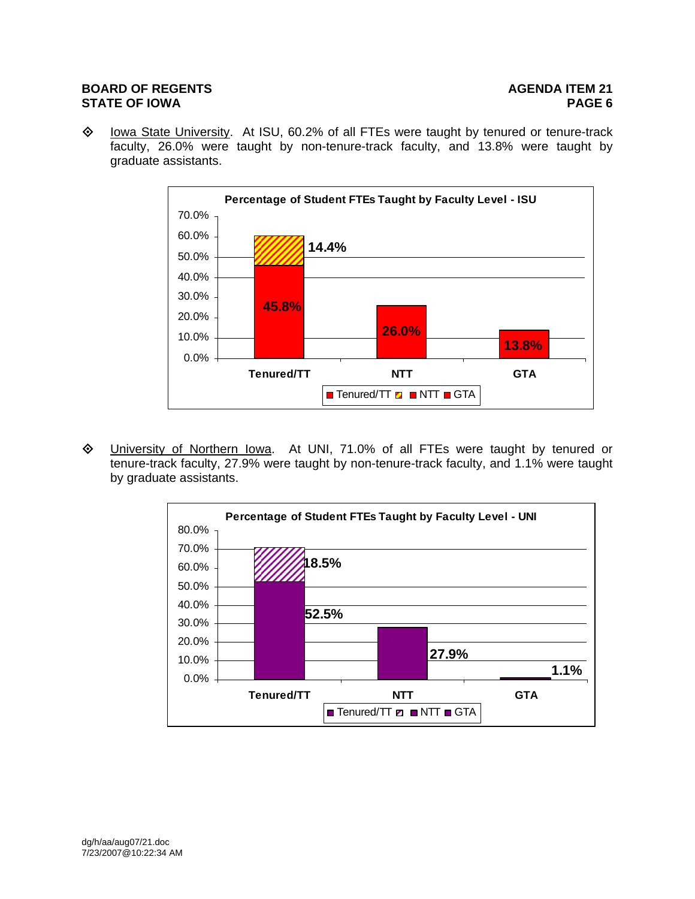Iowa State University. At ISU, 60.2% of all FTEs were taught by tenured or tenure-track faculty, 26.0% were taught by non-tenure-track faculty, and 13.8% were taught by graduate assistants.



 University of Northern Iowa. At UNI, 71.0% of all FTEs were taught by tenured or tenure-track faculty, 27.9% were taught by non-tenure-track faculty, and 1.1% were taught by graduate assistants.

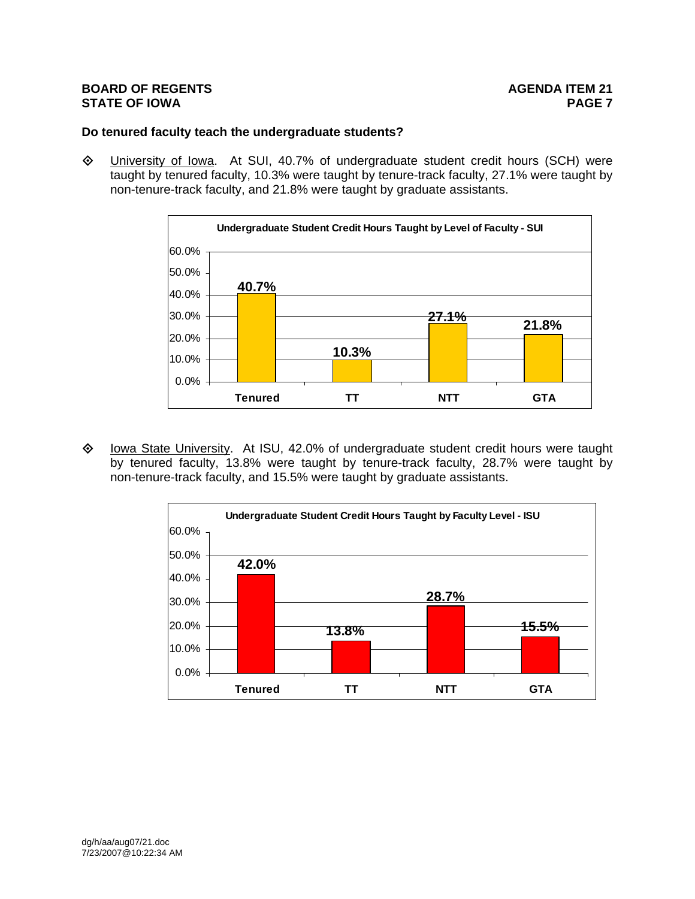## **Do tenured faculty teach the undergraduate students?**

 $\Diamond$  University of Iowa. At SUI, 40.7% of undergraduate student credit hours (SCH) were taught by tenured faculty, 10.3% were taught by tenure-track faculty, 27.1% were taught by non-tenure-track faculty, and 21.8% were taught by graduate assistants.



 $\diamond$  Iowa State University. At ISU, 42.0% of undergraduate student credit hours were taught by tenured faculty, 13.8% were taught by tenure-track faculty, 28.7% were taught by non-tenure-track faculty, and 15.5% were taught by graduate assistants.

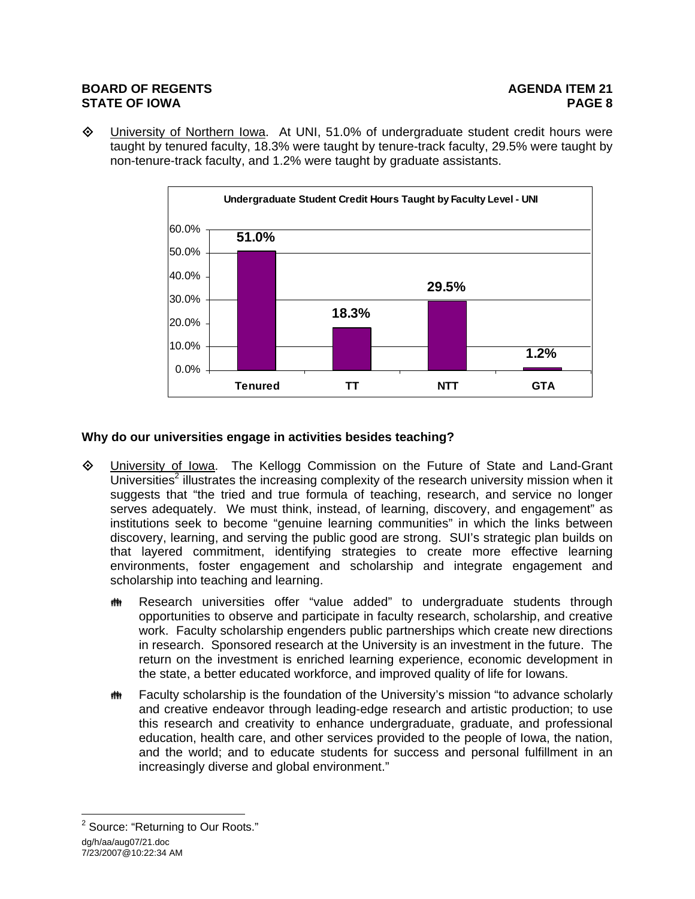University of Northern Iowa. At UNI, 51.0% of undergraduate student credit hours were taught by tenured faculty, 18.3% were taught by tenure-track faculty, 29.5% were taught by non-tenure-track faculty, and 1.2% were taught by graduate assistants.



# **Why do our universities engage in activities besides teaching?**

- University of Iowa. The Kellogg Commission on the Future of State and Land-Grant Universities<sup>2</sup> illustrates the increasing complexity of the research university mission when it suggests that "the tried and true formula of teaching, research, and service no longer serves adequately. We must think, instead, of learning, discovery, and engagement" as institutions seek to become "genuine learning communities" in which the links between discovery, learning, and serving the public good are strong. SUI's strategic plan builds on that layered commitment, identifying strategies to create more effective learning environments, foster engagement and scholarship and integrate engagement and scholarship into teaching and learning.
	- **\*\*** Research universities offer "value added" to undergraduate students through opportunities to observe and participate in faculty research, scholarship, and creative work. Faculty scholarship engenders public partnerships which create new directions in research. Sponsored research at the University is an investment in the future. The return on the investment is enriched learning experience, economic development in the state, a better educated workforce, and improved quality of life for Iowans.
	- **\*\*** Faculty scholarship is the foundation of the University's mission "to advance scholarly and creative endeavor through leading-edge research and artistic production; to use this research and creativity to enhance undergraduate, graduate, and professional education, health care, and other services provided to the people of Iowa, the nation, and the world; and to educate students for success and personal fulfillment in an increasingly diverse and global environment."

dg/h/aa/aug07/21.doc 7/23/2007@10:22:34 AM  $\overline{a}$ <sup>2</sup> Source: "Returning to Our Roots."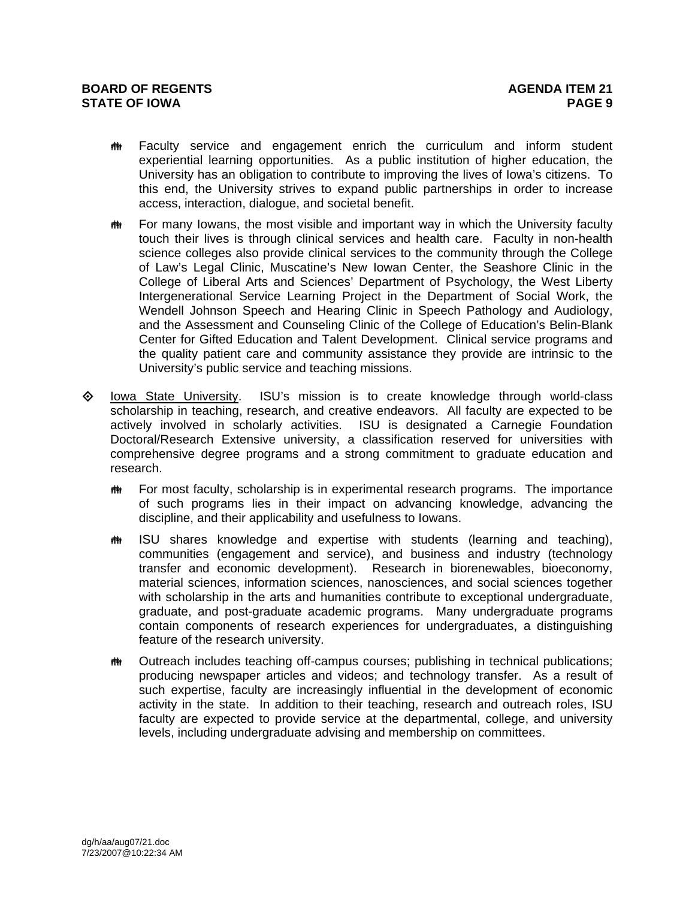- $m$  Faculty service and engagement enrich the curriculum and inform student experiential learning opportunities. As a public institution of higher education, the University has an obligation to contribute to improving the lives of Iowa's citizens. To this end, the University strives to expand public partnerships in order to increase access, interaction, dialogue, and societal benefit.
- $\bf{m}$  For many lowans, the most visible and important way in which the University faculty touch their lives is through clinical services and health care. Faculty in non-health science colleges also provide clinical services to the community through the College of Law's Legal Clinic, Muscatine's New Iowan Center, the Seashore Clinic in the College of Liberal Arts and Sciences' Department of Psychology, the West Liberty Intergenerational Service Learning Project in the Department of Social Work, the Wendell Johnson Speech and Hearing Clinic in Speech Pathology and Audiology, and the Assessment and Counseling Clinic of the College of Education's Belin-Blank Center for Gifted Education and Talent Development. Clinical service programs and the quality patient care and community assistance they provide are intrinsic to the University's public service and teaching missions.
- $\diamond$  Iowa State University. ISU's mission is to create knowledge through world-class scholarship in teaching, research, and creative endeavors. All faculty are expected to be actively involved in scholarly activities. ISU is designated a Carnegie Foundation Doctoral/Research Extensive university, a classification reserved for universities with comprehensive degree programs and a strong commitment to graduate education and research.
	- $m$  For most faculty, scholarship is in experimental research programs. The importance of such programs lies in their impact on advancing knowledge, advancing the discipline, and their applicability and usefulness to Iowans.
	- $m$  ISU shares knowledge and expertise with students (learning and teaching), communities (engagement and service), and business and industry (technology transfer and economic development). Research in biorenewables, bioeconomy, material sciences, information sciences, nanosciences, and social sciences together with scholarship in the arts and humanities contribute to exceptional undergraduate, graduate, and post-graduate academic programs. Many undergraduate programs contain components of research experiences for undergraduates, a distinguishing feature of the research university.
	- $m$  Outreach includes teaching off-campus courses; publishing in technical publications; producing newspaper articles and videos; and technology transfer. As a result of such expertise, faculty are increasingly influential in the development of economic activity in the state. In addition to their teaching, research and outreach roles, ISU faculty are expected to provide service at the departmental, college, and university levels, including undergraduate advising and membership on committees.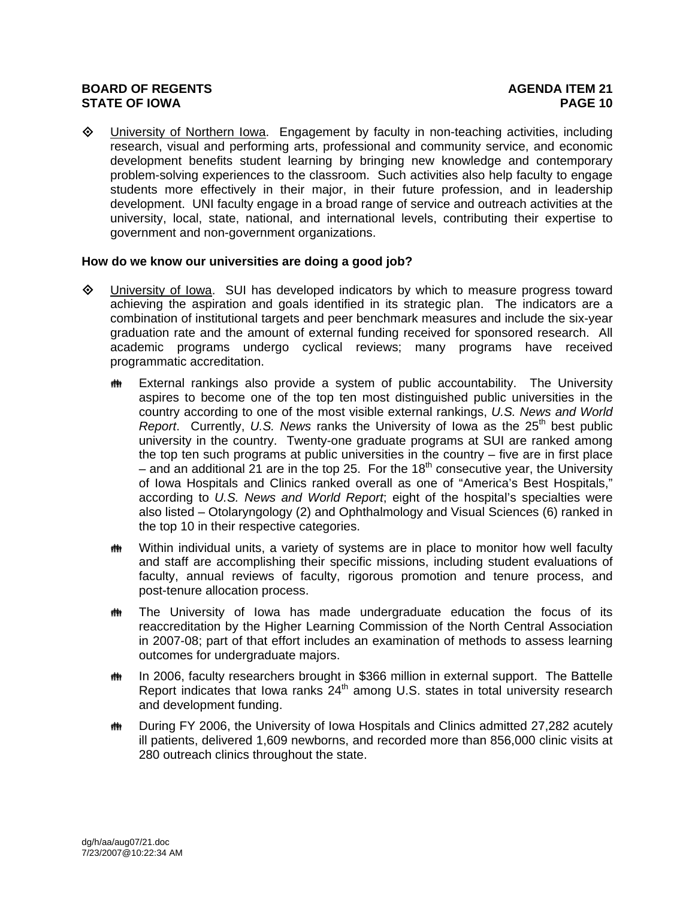University of Northern Iowa. Engagement by faculty in non-teaching activities, including research, visual and performing arts, professional and community service, and economic development benefits student learning by bringing new knowledge and contemporary problem-solving experiences to the classroom. Such activities also help faculty to engage students more effectively in their major, in their future profession, and in leadership development. UNI faculty engage in a broad range of service and outreach activities at the university, local, state, national, and international levels, contributing their expertise to government and non-government organizations.

# **How do we know our universities are doing a good job?**

- University of Iowa. SUI has developed indicators by which to measure progress toward achieving the aspiration and goals identified in its strategic plan. The indicators are a combination of institutional targets and peer benchmark measures and include the six-year graduation rate and the amount of external funding received for sponsored research. All academic programs undergo cyclical reviews; many programs have received programmatic accreditation.
	- $m$  External rankings also provide a system of public accountability. The University aspires to become one of the top ten most distinguished public universities in the country according to one of the most visible external rankings, *U.S. News and World Report.* Currently, U.S. News ranks the University of Iowa as the 25<sup>th</sup> best public university in the country. Twenty-one graduate programs at SUI are ranked among the top ten such programs at public universities in the country – five are in first place – and an additional 21 are in the top 25. For the 18<sup>th</sup> consecutive year, the University of Iowa Hospitals and Clinics ranked overall as one of "America's Best Hospitals," according to *U.S. News and World Report*; eight of the hospital's specialties were also listed – Otolaryngology (2) and Ophthalmology and Visual Sciences (6) ranked in the top 10 in their respective categories.
	- $m$  Within individual units, a variety of systems are in place to monitor how well faculty and staff are accomplishing their specific missions, including student evaluations of faculty, annual reviews of faculty, rigorous promotion and tenure process, and post-tenure allocation process.
	- the The University of Iowa has made undergraduate education the focus of its reaccreditation by the Higher Learning Commission of the North Central Association in 2007-08; part of that effort includes an examination of methods to assess learning outcomes for undergraduate majors.
	- **\*\*\*** In 2006, faculty researchers brought in \$366 million in external support. The Battelle Report indicates that Iowa ranks  $24<sup>th</sup>$  among U.S. states in total university research and development funding.
	- $m$  During FY 2006, the University of Iowa Hospitals and Clinics admitted 27,282 acutely ill patients, delivered 1,609 newborns, and recorded more than 856,000 clinic visits at 280 outreach clinics throughout the state.